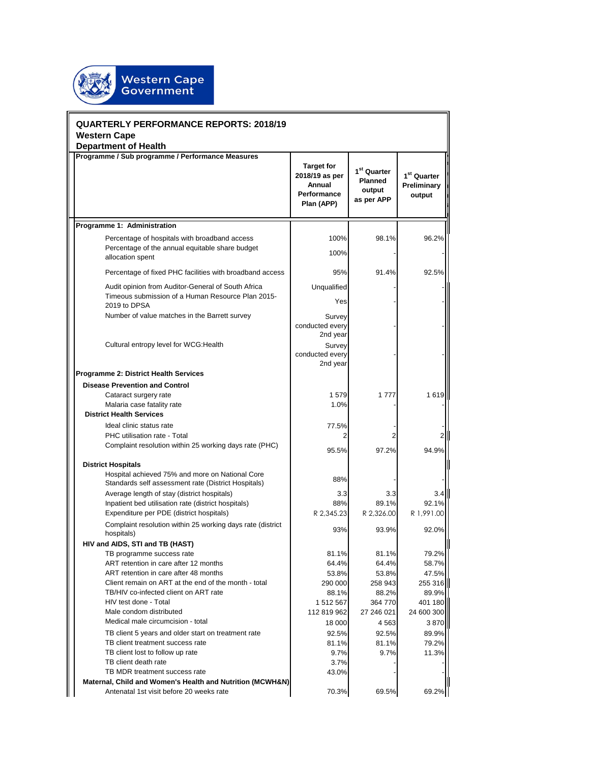

| <b>QUARTERLY PERFORMANCE REPORTS: 2018/19</b><br><b>Western Cape</b> |                                                                                                                      |                                                                            |                                                                   |                                        |
|----------------------------------------------------------------------|----------------------------------------------------------------------------------------------------------------------|----------------------------------------------------------------------------|-------------------------------------------------------------------|----------------------------------------|
|                                                                      | <b>Department of Health</b>                                                                                          |                                                                            |                                                                   |                                        |
|                                                                      | Programme / Sub programme / Performance Measures                                                                     | <b>Target for</b><br>2018/19 as per<br>Annual<br>Performance<br>Plan (APP) | 1 <sup>st</sup> Quarter<br><b>Planned</b><br>output<br>as per APP | $1st$ Quarter<br>Preliminary<br>output |
|                                                                      | Programme 1: Administration                                                                                          |                                                                            |                                                                   |                                        |
|                                                                      | Percentage of hospitals with broadband access<br>Percentage of the annual equitable share budget<br>allocation spent | 100%<br>100%                                                               | 98.1%                                                             | 96.2%                                  |
|                                                                      | Percentage of fixed PHC facilities with broadband access                                                             | 95%                                                                        | 91.4%                                                             | 92.5%                                  |
|                                                                      | Audit opinion from Auditor-General of South Africa                                                                   | Unqualified                                                                |                                                                   |                                        |
|                                                                      | Timeous submission of a Human Resource Plan 2015-<br>2019 to DPSA                                                    | Yes                                                                        |                                                                   |                                        |
|                                                                      | Number of value matches in the Barrett survey                                                                        | Survey<br>conducted every<br>2nd year                                      |                                                                   |                                        |
|                                                                      | Cultural entropy level for WCG: Health                                                                               | Survey<br>conducted every<br>2nd year                                      |                                                                   |                                        |
|                                                                      | <b>Programme 2: District Health Services</b>                                                                         |                                                                            |                                                                   |                                        |
|                                                                      | <b>Disease Prevention and Control</b>                                                                                |                                                                            |                                                                   |                                        |
|                                                                      | Cataract surgery rate                                                                                                | 1579                                                                       | 1777                                                              | 1619                                   |
|                                                                      | Malaria case fatality rate                                                                                           | 1.0%                                                                       |                                                                   |                                        |
|                                                                      | <b>District Health Services</b>                                                                                      |                                                                            |                                                                   |                                        |
|                                                                      | Ideal clinic status rate                                                                                             | 77.5%                                                                      |                                                                   |                                        |
|                                                                      | PHC utilisation rate - Total<br>Complaint resolution within 25 working days rate (PHC)                               | 2<br>95.5%                                                                 | 97.2%                                                             | 94.9%                                  |
|                                                                      | <b>District Hospitals</b>                                                                                            |                                                                            |                                                                   |                                        |
|                                                                      | Hospital achieved 75% and more on National Core<br>Standards self assessment rate (District Hospitals)               | 88%                                                                        |                                                                   |                                        |
|                                                                      | Average length of stay (district hospitals)                                                                          | 3.3                                                                        | 3.3                                                               | 3.4                                    |
|                                                                      | Inpatient bed utilisation rate (district hospitals)                                                                  | 88%                                                                        | 89.1%                                                             | 92.1%                                  |
|                                                                      | Expenditure per PDE (district hospitals)                                                                             | R 2,345.23                                                                 | R 2,326.00                                                        | R 1,991.00                             |
|                                                                      | Complaint resolution within 25 working days rate (district<br>hospitals)                                             | 93%                                                                        | 93.9%                                                             | 92.0%                                  |
|                                                                      | HIV and AIDS, STI and TB (HAST)                                                                                      |                                                                            |                                                                   |                                        |
|                                                                      | TB programme success rate                                                                                            | 81.1%                                                                      | 81.1%                                                             | 79.2%                                  |
|                                                                      | ART retention in care after 12 months<br>ART retention in care after 48 months                                       | 64.4%<br>53.8%                                                             | 64.4%<br>53.8%                                                    | 58.7%<br>47.5%                         |
|                                                                      | Client remain on ART at the end of the month - total                                                                 | 290 000                                                                    | 258 943                                                           | 255 316                                |
|                                                                      | TB/HIV co-infected client on ART rate                                                                                | 88.1%                                                                      | 88.2%                                                             | 89.9%                                  |
|                                                                      | HIV test done - Total                                                                                                | 1 512 567                                                                  | 364 770                                                           | 401 180                                |
|                                                                      | Male condom distributed                                                                                              | 112 819 962                                                                | 27 246 021                                                        | 24 600 300                             |
|                                                                      | Medical male circumcision - total                                                                                    | 18 000                                                                     | 4 5 6 3                                                           | 3870                                   |
|                                                                      | TB client 5 years and older start on treatment rate                                                                  | 92.5%                                                                      | 92.5%                                                             | 89.9%                                  |
|                                                                      | TB client treatment success rate                                                                                     | 81.1%                                                                      | 81.1%                                                             | 79.2%                                  |
|                                                                      | TB client lost to follow up rate                                                                                     | 9.7%                                                                       | 9.7%                                                              | 11.3%                                  |
|                                                                      | TB client death rate<br>TB MDR treatment success rate                                                                | 3.7%<br>43.0%                                                              |                                                                   |                                        |
|                                                                      | Maternal, Child and Women's Health and Nutrition (MCWH&N)                                                            |                                                                            |                                                                   |                                        |
|                                                                      | Antenatal 1st visit before 20 weeks rate                                                                             | 70.3%                                                                      | 69.5%                                                             | 69.2%                                  |

 $\overline{\mathbf{u}}$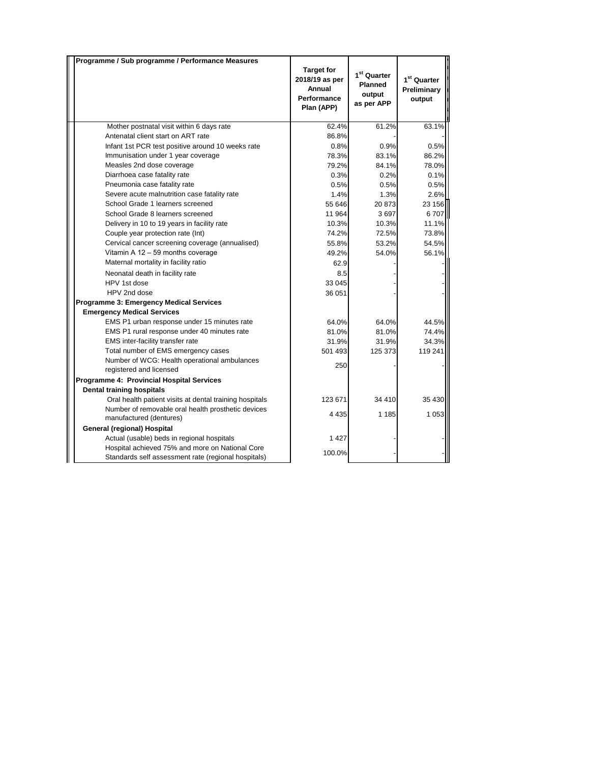| Programme / Sub programme / Performance Measures        |                                                                            |                                                            |                                        |
|---------------------------------------------------------|----------------------------------------------------------------------------|------------------------------------------------------------|----------------------------------------|
|                                                         | <b>Target for</b><br>2018/19 as per<br>Annual<br>Performance<br>Plan (APP) | 1 <sup>st</sup> Quarter<br>Planned<br>output<br>as per APP | $1st$ Quarter<br>Preliminary<br>output |
| Mother postnatal visit within 6 days rate               | 62.4%                                                                      | 61.2%                                                      | 63.1%                                  |
| Antenatal client start on ART rate                      | 86.8%                                                                      |                                                            |                                        |
| Infant 1st PCR test positive around 10 weeks rate       | 0.8%                                                                       | 0.9%                                                       | 0.5%                                   |
| Immunisation under 1 year coverage                      | 78.3%                                                                      | 83.1%                                                      | 86.2%                                  |
| Measles 2nd dose coverage                               | 79.2%                                                                      | 84.1%                                                      | 78.0%                                  |
| Diarrhoea case fatality rate                            | 0.3%                                                                       | 0.2%                                                       | 0.1%                                   |
| Pneumonia case fatality rate                            | 0.5%                                                                       | 0.5%                                                       | 0.5%                                   |
| Severe acute malnutrition case fatality rate            | 1.4%                                                                       | 1.3%                                                       | 2.6%                                   |
| School Grade 1 learners screened                        | 55 646                                                                     | 20 873                                                     | 23 156                                 |
| School Grade 8 learners screened                        | 11 964                                                                     | 3697                                                       | 6707                                   |
| Delivery in 10 to 19 years in facility rate             | 10.3%                                                                      | 10.3%                                                      | 11.1%                                  |
| Couple year protection rate (Int)                       | 74.2%                                                                      | 72.5%                                                      | 73.8%                                  |
| Cervical cancer screening coverage (annualised)         | 55.8%                                                                      | 53.2%                                                      | 54.5%                                  |
| Vitamin A 12 - 59 months coverage                       | 49.2%                                                                      | 54.0%                                                      | 56.1%                                  |
| Maternal mortality in facility ratio                    | 62.9                                                                       |                                                            |                                        |
| Neonatal death in facility rate                         | 8.5                                                                        |                                                            |                                        |
| HPV 1st dose                                            | 33 045                                                                     |                                                            |                                        |
| HPV 2nd dose                                            | 36 051                                                                     |                                                            |                                        |
| Programme 3: Emergency Medical Services                 |                                                                            |                                                            |                                        |
| <b>Emergency Medical Services</b>                       |                                                                            |                                                            |                                        |
| EMS P1 urban response under 15 minutes rate             | 64.0%                                                                      | 64.0%                                                      | 44.5%                                  |
| EMS P1 rural response under 40 minutes rate             | 81.0%                                                                      | 81.0%                                                      | 74.4%                                  |
| EMS inter-facility transfer rate                        | 31.9%                                                                      | 31.9%                                                      | 34.3%                                  |
| Total number of EMS emergency cases                     | 501 493                                                                    | 125 373                                                    | 119 241                                |
| Number of WCG: Health operational ambulances            |                                                                            |                                                            |                                        |
| registered and licensed                                 | 250                                                                        |                                                            |                                        |
| Programme 4: Provincial Hospital Services               |                                                                            |                                                            |                                        |
| <b>Dental training hospitals</b>                        |                                                                            |                                                            |                                        |
| Oral health patient visits at dental training hospitals | 123 671                                                                    | 34 410                                                     | 35 430                                 |
| Number of removable oral health prosthetic devices      | 4 4 3 5                                                                    | 1 1 8 5                                                    | 1 0 5 3                                |
| manufactured (dentures)                                 |                                                                            |                                                            |                                        |
| General (regional) Hospital                             |                                                                            |                                                            |                                        |
| Actual (usable) beds in regional hospitals              | 1 427                                                                      |                                                            |                                        |
| Hospital achieved 75% and more on National Core         | 100.0%                                                                     |                                                            |                                        |
| Standards self assessment rate (regional hospitals)     |                                                                            |                                                            |                                        |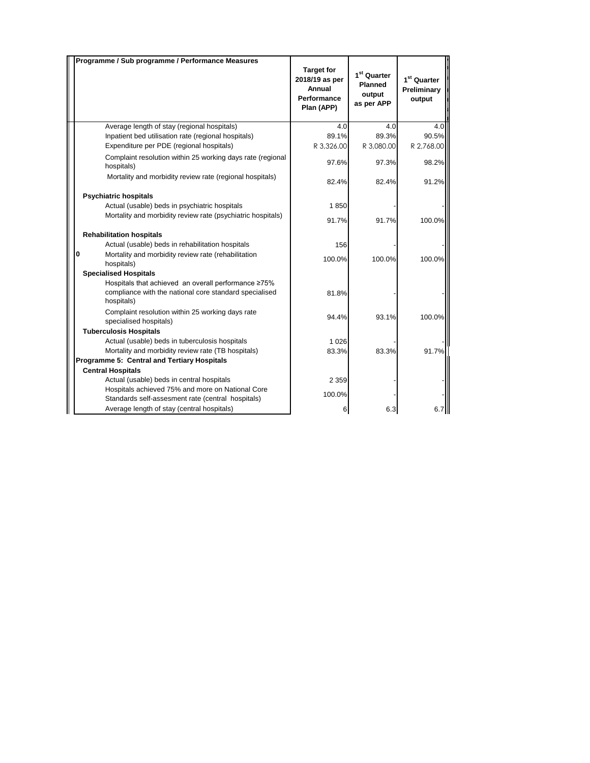| Programme / Sub programme / Performance Measures                                                                            |                                                                            |                                                            |                                                  |
|-----------------------------------------------------------------------------------------------------------------------------|----------------------------------------------------------------------------|------------------------------------------------------------|--------------------------------------------------|
|                                                                                                                             | <b>Target for</b><br>2018/19 as per<br>Annual<br>Performance<br>Plan (APP) | 1 <sup>st</sup> Quarter<br>Planned<br>output<br>as per APP | 1 <sup>st</sup> Quarter<br>Preliminary<br>output |
| Average length of stay (regional hospitals)                                                                                 | 4.0                                                                        | 4.0                                                        | 4.0                                              |
| Inpatient bed utilisation rate (regional hospitals)                                                                         | 89.1%                                                                      | 89.3%                                                      | 90.5%                                            |
| Expenditure per PDE (regional hospitals)                                                                                    | R 3,326.00                                                                 | R 3,080.00                                                 | R 2,768.00                                       |
| Complaint resolution within 25 working days rate (regional<br>hospitals)                                                    | 97.6%                                                                      | 97.3%                                                      | 98.2%                                            |
| Mortality and morbidity review rate (regional hospitals)                                                                    | 82.4%                                                                      | 82.4%                                                      | 91.2%                                            |
| <b>Psychiatric hospitals</b>                                                                                                |                                                                            |                                                            |                                                  |
| Actual (usable) beds in psychiatric hospitals                                                                               | 1850                                                                       |                                                            |                                                  |
| Mortality and morbidity review rate (psychiatric hospitals)                                                                 | 91.7%                                                                      | 91.7%                                                      | 100.0%                                           |
| <b>Rehabilitation hospitals</b>                                                                                             |                                                                            |                                                            |                                                  |
| Actual (usable) beds in rehabilitation hospitals                                                                            | 156                                                                        |                                                            |                                                  |
| $\mathbf{0}$<br>Mortality and morbidity review rate (rehabilitation<br>hospitals)                                           | 100.0%                                                                     | 100.0%                                                     | 100.0%                                           |
| <b>Specialised Hospitals</b>                                                                                                |                                                                            |                                                            |                                                  |
| Hospitals that achieved an overall performance ≥75%<br>compliance with the national core standard specialised<br>hospitals) | 81.8%                                                                      |                                                            |                                                  |
| Complaint resolution within 25 working days rate<br>specialised hospitals)                                                  | 94.4%                                                                      | 93.1%                                                      | 100.0%                                           |
| <b>Tuberculosis Hospitals</b>                                                                                               |                                                                            |                                                            |                                                  |
| Actual (usable) beds in tuberculosis hospitals                                                                              | 1 0 2 6                                                                    |                                                            |                                                  |
| Mortality and morbidity review rate (TB hospitals)                                                                          | 83.3%                                                                      | 83.3%                                                      | 91.7%                                            |
| Programme 5: Central and Tertiary Hospitals                                                                                 |                                                                            |                                                            |                                                  |
| <b>Central Hospitals</b>                                                                                                    |                                                                            |                                                            |                                                  |
| Actual (usable) beds in central hospitals                                                                                   | 2 3 5 9                                                                    |                                                            |                                                  |
| Hospitals achieved 75% and more on National Core<br>Standards self-assesment rate (central hospitals)                       | 100.0%                                                                     |                                                            |                                                  |
| Average length of stay (central hospitals)                                                                                  | 6                                                                          | 6.3                                                        |                                                  |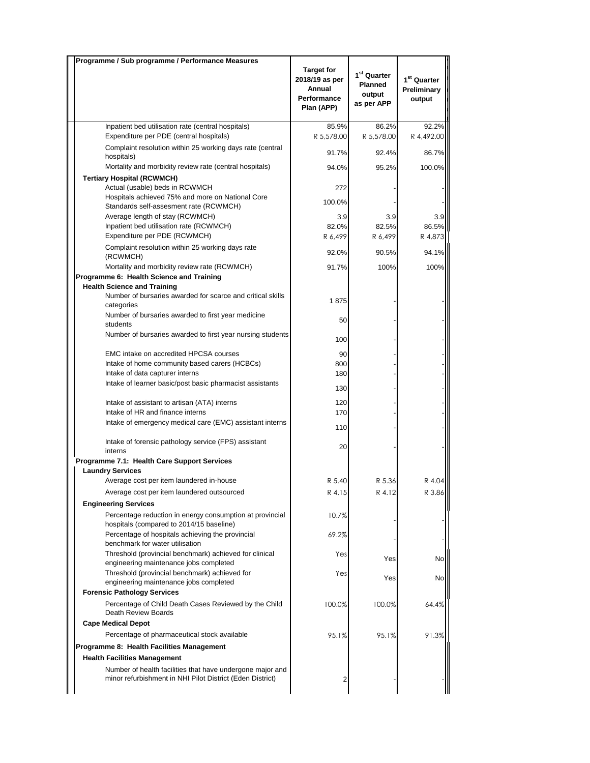| <b>Target for</b><br>1 <sup>st</sup> Quarter<br>1 <sup>st</sup> Quarter<br>2018/19 as per<br><b>Planned</b><br>Annual<br>Preliminary<br>output<br>Performance<br>output<br>as per APP<br>Plan (APP)<br>Inpatient bed utilisation rate (central hospitals)<br>85.9%<br>86.2%<br>92.2%<br>Expenditure per PDE (central hospitals)<br>R 5,578.00<br>R 5,578.00<br>R 4,492.00<br>Complaint resolution within 25 working days rate (central<br>86.7%<br>91.7%<br>92.4%<br>hospitals)<br>Mortality and morbidity review rate (central hospitals)<br>100.0%<br>94.0%<br>95.2%<br><b>Tertiary Hospital (RCWMCH)</b><br>Actual (usable) beds in RCWMCH<br>272<br>Hospitals achieved 75% and more on National Core<br>100.0%<br>Standards self-assesment rate (RCWMCH)<br>Average length of stay (RCWMCH)<br>3.9<br>3.9<br>3.9<br>86.5%<br>Inpatient bed utilisation rate (RCWMCH)<br>82.0%<br>82.5%<br>Expenditure per PDE (RCWMCH)<br>R 6,499<br>R 6,499<br>R 4,873<br>Complaint resolution within 25 working days rate<br>92.0%<br>90.5%<br>94.1%<br>(RCWMCH)<br>Mortality and morbidity review rate (RCWMCH)<br>91.7%<br>100%<br>100%<br>Programme 6: Health Science and Training<br><b>Health Science and Training</b><br>Number of bursaries awarded for scarce and critical skills<br>1875<br>categories<br>Number of bursaries awarded to first year medicine<br>50<br>students<br>Number of bursaries awarded to first year nursing students<br>100<br><b>EMC</b> intake on accredited HPCSA courses<br>90<br>Intake of home community based carers (HCBCs)<br>800<br>Intake of data capturer interns<br>180<br>Intake of learner basic/post basic pharmacist assistants<br>130<br>Intake of assistant to artisan (ATA) interns<br>120<br>Intake of HR and finance interns<br>170<br>Intake of emergency medical care (EMC) assistant interns<br>110<br>Intake of forensic pathology service (FPS) assistant<br>20<br>interns<br>Programme 7.1: Health Care Support Services<br><b>Laundry Services</b><br>Average cost per item laundered in-house<br>R 5.40<br>R 5.36<br>R 4.04<br>Average cost per item laundered outsourced<br>R 4.15<br>R 4.12<br>R 3.86<br><b>Engineering Services</b><br>Percentage reduction in energy consumption at provincial<br>10.7%<br>hospitals (compared to 2014/15 baseline)<br>Percentage of hospitals achieving the provincial<br>69.2%<br>benchmark for water utilisation<br>Threshold (provincial benchmark) achieved for clinical<br>Yes<br>Yes<br>No<br>engineering maintenance jobs completed<br>Threshold (provincial benchmark) achieved for<br>Yes<br>Yes<br>No<br>engineering maintenance jobs completed<br><b>Forensic Pathology Services</b><br>Percentage of Child Death Cases Reviewed by the Child<br>100.0%<br>64.4%<br>100.0%<br>Death Review Boards<br><b>Cape Medical Depot</b><br>Percentage of pharmaceutical stock available<br>95.1%<br>91.3%<br>95.1%<br>Programme 8: Health Facilities Management<br><b>Health Facilities Management</b><br>Number of health facilities that have undergone major and<br>minor refurbishment in NHI Pilot District (Eden District)<br>2 | Programme / Sub programme / Performance Measures |  |  |
|-----------------------------------------------------------------------------------------------------------------------------------------------------------------------------------------------------------------------------------------------------------------------------------------------------------------------------------------------------------------------------------------------------------------------------------------------------------------------------------------------------------------------------------------------------------------------------------------------------------------------------------------------------------------------------------------------------------------------------------------------------------------------------------------------------------------------------------------------------------------------------------------------------------------------------------------------------------------------------------------------------------------------------------------------------------------------------------------------------------------------------------------------------------------------------------------------------------------------------------------------------------------------------------------------------------------------------------------------------------------------------------------------------------------------------------------------------------------------------------------------------------------------------------------------------------------------------------------------------------------------------------------------------------------------------------------------------------------------------------------------------------------------------------------------------------------------------------------------------------------------------------------------------------------------------------------------------------------------------------------------------------------------------------------------------------------------------------------------------------------------------------------------------------------------------------------------------------------------------------------------------------------------------------------------------------------------------------------------------------------------------------------------------------------------------------------------------------------------------------------------------------------------------------------------------------------------------------------------------------------------------------------------------------------------------------------------------------------------------------------------------------------------------------------------------------------------------------------------------------------------------------------------------------------------------------------------------------------------------------------------------------------------------------------------------------------------------------------------------------------------------------|--------------------------------------------------|--|--|
|                                                                                                                                                                                                                                                                                                                                                                                                                                                                                                                                                                                                                                                                                                                                                                                                                                                                                                                                                                                                                                                                                                                                                                                                                                                                                                                                                                                                                                                                                                                                                                                                                                                                                                                                                                                                                                                                                                                                                                                                                                                                                                                                                                                                                                                                                                                                                                                                                                                                                                                                                                                                                                                                                                                                                                                                                                                                                                                                                                                                                                                                                                                                   |                                                  |  |  |
|                                                                                                                                                                                                                                                                                                                                                                                                                                                                                                                                                                                                                                                                                                                                                                                                                                                                                                                                                                                                                                                                                                                                                                                                                                                                                                                                                                                                                                                                                                                                                                                                                                                                                                                                                                                                                                                                                                                                                                                                                                                                                                                                                                                                                                                                                                                                                                                                                                                                                                                                                                                                                                                                                                                                                                                                                                                                                                                                                                                                                                                                                                                                   |                                                  |  |  |
|                                                                                                                                                                                                                                                                                                                                                                                                                                                                                                                                                                                                                                                                                                                                                                                                                                                                                                                                                                                                                                                                                                                                                                                                                                                                                                                                                                                                                                                                                                                                                                                                                                                                                                                                                                                                                                                                                                                                                                                                                                                                                                                                                                                                                                                                                                                                                                                                                                                                                                                                                                                                                                                                                                                                                                                                                                                                                                                                                                                                                                                                                                                                   |                                                  |  |  |
|                                                                                                                                                                                                                                                                                                                                                                                                                                                                                                                                                                                                                                                                                                                                                                                                                                                                                                                                                                                                                                                                                                                                                                                                                                                                                                                                                                                                                                                                                                                                                                                                                                                                                                                                                                                                                                                                                                                                                                                                                                                                                                                                                                                                                                                                                                                                                                                                                                                                                                                                                                                                                                                                                                                                                                                                                                                                                                                                                                                                                                                                                                                                   |                                                  |  |  |
|                                                                                                                                                                                                                                                                                                                                                                                                                                                                                                                                                                                                                                                                                                                                                                                                                                                                                                                                                                                                                                                                                                                                                                                                                                                                                                                                                                                                                                                                                                                                                                                                                                                                                                                                                                                                                                                                                                                                                                                                                                                                                                                                                                                                                                                                                                                                                                                                                                                                                                                                                                                                                                                                                                                                                                                                                                                                                                                                                                                                                                                                                                                                   |                                                  |  |  |
|                                                                                                                                                                                                                                                                                                                                                                                                                                                                                                                                                                                                                                                                                                                                                                                                                                                                                                                                                                                                                                                                                                                                                                                                                                                                                                                                                                                                                                                                                                                                                                                                                                                                                                                                                                                                                                                                                                                                                                                                                                                                                                                                                                                                                                                                                                                                                                                                                                                                                                                                                                                                                                                                                                                                                                                                                                                                                                                                                                                                                                                                                                                                   |                                                  |  |  |
|                                                                                                                                                                                                                                                                                                                                                                                                                                                                                                                                                                                                                                                                                                                                                                                                                                                                                                                                                                                                                                                                                                                                                                                                                                                                                                                                                                                                                                                                                                                                                                                                                                                                                                                                                                                                                                                                                                                                                                                                                                                                                                                                                                                                                                                                                                                                                                                                                                                                                                                                                                                                                                                                                                                                                                                                                                                                                                                                                                                                                                                                                                                                   |                                                  |  |  |
|                                                                                                                                                                                                                                                                                                                                                                                                                                                                                                                                                                                                                                                                                                                                                                                                                                                                                                                                                                                                                                                                                                                                                                                                                                                                                                                                                                                                                                                                                                                                                                                                                                                                                                                                                                                                                                                                                                                                                                                                                                                                                                                                                                                                                                                                                                                                                                                                                                                                                                                                                                                                                                                                                                                                                                                                                                                                                                                                                                                                                                                                                                                                   |                                                  |  |  |
|                                                                                                                                                                                                                                                                                                                                                                                                                                                                                                                                                                                                                                                                                                                                                                                                                                                                                                                                                                                                                                                                                                                                                                                                                                                                                                                                                                                                                                                                                                                                                                                                                                                                                                                                                                                                                                                                                                                                                                                                                                                                                                                                                                                                                                                                                                                                                                                                                                                                                                                                                                                                                                                                                                                                                                                                                                                                                                                                                                                                                                                                                                                                   |                                                  |  |  |
|                                                                                                                                                                                                                                                                                                                                                                                                                                                                                                                                                                                                                                                                                                                                                                                                                                                                                                                                                                                                                                                                                                                                                                                                                                                                                                                                                                                                                                                                                                                                                                                                                                                                                                                                                                                                                                                                                                                                                                                                                                                                                                                                                                                                                                                                                                                                                                                                                                                                                                                                                                                                                                                                                                                                                                                                                                                                                                                                                                                                                                                                                                                                   |                                                  |  |  |
|                                                                                                                                                                                                                                                                                                                                                                                                                                                                                                                                                                                                                                                                                                                                                                                                                                                                                                                                                                                                                                                                                                                                                                                                                                                                                                                                                                                                                                                                                                                                                                                                                                                                                                                                                                                                                                                                                                                                                                                                                                                                                                                                                                                                                                                                                                                                                                                                                                                                                                                                                                                                                                                                                                                                                                                                                                                                                                                                                                                                                                                                                                                                   |                                                  |  |  |
|                                                                                                                                                                                                                                                                                                                                                                                                                                                                                                                                                                                                                                                                                                                                                                                                                                                                                                                                                                                                                                                                                                                                                                                                                                                                                                                                                                                                                                                                                                                                                                                                                                                                                                                                                                                                                                                                                                                                                                                                                                                                                                                                                                                                                                                                                                                                                                                                                                                                                                                                                                                                                                                                                                                                                                                                                                                                                                                                                                                                                                                                                                                                   |                                                  |  |  |
|                                                                                                                                                                                                                                                                                                                                                                                                                                                                                                                                                                                                                                                                                                                                                                                                                                                                                                                                                                                                                                                                                                                                                                                                                                                                                                                                                                                                                                                                                                                                                                                                                                                                                                                                                                                                                                                                                                                                                                                                                                                                                                                                                                                                                                                                                                                                                                                                                                                                                                                                                                                                                                                                                                                                                                                                                                                                                                                                                                                                                                                                                                                                   |                                                  |  |  |
|                                                                                                                                                                                                                                                                                                                                                                                                                                                                                                                                                                                                                                                                                                                                                                                                                                                                                                                                                                                                                                                                                                                                                                                                                                                                                                                                                                                                                                                                                                                                                                                                                                                                                                                                                                                                                                                                                                                                                                                                                                                                                                                                                                                                                                                                                                                                                                                                                                                                                                                                                                                                                                                                                                                                                                                                                                                                                                                                                                                                                                                                                                                                   |                                                  |  |  |
|                                                                                                                                                                                                                                                                                                                                                                                                                                                                                                                                                                                                                                                                                                                                                                                                                                                                                                                                                                                                                                                                                                                                                                                                                                                                                                                                                                                                                                                                                                                                                                                                                                                                                                                                                                                                                                                                                                                                                                                                                                                                                                                                                                                                                                                                                                                                                                                                                                                                                                                                                                                                                                                                                                                                                                                                                                                                                                                                                                                                                                                                                                                                   |                                                  |  |  |
|                                                                                                                                                                                                                                                                                                                                                                                                                                                                                                                                                                                                                                                                                                                                                                                                                                                                                                                                                                                                                                                                                                                                                                                                                                                                                                                                                                                                                                                                                                                                                                                                                                                                                                                                                                                                                                                                                                                                                                                                                                                                                                                                                                                                                                                                                                                                                                                                                                                                                                                                                                                                                                                                                                                                                                                                                                                                                                                                                                                                                                                                                                                                   |                                                  |  |  |
|                                                                                                                                                                                                                                                                                                                                                                                                                                                                                                                                                                                                                                                                                                                                                                                                                                                                                                                                                                                                                                                                                                                                                                                                                                                                                                                                                                                                                                                                                                                                                                                                                                                                                                                                                                                                                                                                                                                                                                                                                                                                                                                                                                                                                                                                                                                                                                                                                                                                                                                                                                                                                                                                                                                                                                                                                                                                                                                                                                                                                                                                                                                                   |                                                  |  |  |
|                                                                                                                                                                                                                                                                                                                                                                                                                                                                                                                                                                                                                                                                                                                                                                                                                                                                                                                                                                                                                                                                                                                                                                                                                                                                                                                                                                                                                                                                                                                                                                                                                                                                                                                                                                                                                                                                                                                                                                                                                                                                                                                                                                                                                                                                                                                                                                                                                                                                                                                                                                                                                                                                                                                                                                                                                                                                                                                                                                                                                                                                                                                                   |                                                  |  |  |
|                                                                                                                                                                                                                                                                                                                                                                                                                                                                                                                                                                                                                                                                                                                                                                                                                                                                                                                                                                                                                                                                                                                                                                                                                                                                                                                                                                                                                                                                                                                                                                                                                                                                                                                                                                                                                                                                                                                                                                                                                                                                                                                                                                                                                                                                                                                                                                                                                                                                                                                                                                                                                                                                                                                                                                                                                                                                                                                                                                                                                                                                                                                                   |                                                  |  |  |
|                                                                                                                                                                                                                                                                                                                                                                                                                                                                                                                                                                                                                                                                                                                                                                                                                                                                                                                                                                                                                                                                                                                                                                                                                                                                                                                                                                                                                                                                                                                                                                                                                                                                                                                                                                                                                                                                                                                                                                                                                                                                                                                                                                                                                                                                                                                                                                                                                                                                                                                                                                                                                                                                                                                                                                                                                                                                                                                                                                                                                                                                                                                                   |                                                  |  |  |
|                                                                                                                                                                                                                                                                                                                                                                                                                                                                                                                                                                                                                                                                                                                                                                                                                                                                                                                                                                                                                                                                                                                                                                                                                                                                                                                                                                                                                                                                                                                                                                                                                                                                                                                                                                                                                                                                                                                                                                                                                                                                                                                                                                                                                                                                                                                                                                                                                                                                                                                                                                                                                                                                                                                                                                                                                                                                                                                                                                                                                                                                                                                                   |                                                  |  |  |
|                                                                                                                                                                                                                                                                                                                                                                                                                                                                                                                                                                                                                                                                                                                                                                                                                                                                                                                                                                                                                                                                                                                                                                                                                                                                                                                                                                                                                                                                                                                                                                                                                                                                                                                                                                                                                                                                                                                                                                                                                                                                                                                                                                                                                                                                                                                                                                                                                                                                                                                                                                                                                                                                                                                                                                                                                                                                                                                                                                                                                                                                                                                                   |                                                  |  |  |
|                                                                                                                                                                                                                                                                                                                                                                                                                                                                                                                                                                                                                                                                                                                                                                                                                                                                                                                                                                                                                                                                                                                                                                                                                                                                                                                                                                                                                                                                                                                                                                                                                                                                                                                                                                                                                                                                                                                                                                                                                                                                                                                                                                                                                                                                                                                                                                                                                                                                                                                                                                                                                                                                                                                                                                                                                                                                                                                                                                                                                                                                                                                                   |                                                  |  |  |
|                                                                                                                                                                                                                                                                                                                                                                                                                                                                                                                                                                                                                                                                                                                                                                                                                                                                                                                                                                                                                                                                                                                                                                                                                                                                                                                                                                                                                                                                                                                                                                                                                                                                                                                                                                                                                                                                                                                                                                                                                                                                                                                                                                                                                                                                                                                                                                                                                                                                                                                                                                                                                                                                                                                                                                                                                                                                                                                                                                                                                                                                                                                                   |                                                  |  |  |
|                                                                                                                                                                                                                                                                                                                                                                                                                                                                                                                                                                                                                                                                                                                                                                                                                                                                                                                                                                                                                                                                                                                                                                                                                                                                                                                                                                                                                                                                                                                                                                                                                                                                                                                                                                                                                                                                                                                                                                                                                                                                                                                                                                                                                                                                                                                                                                                                                                                                                                                                                                                                                                                                                                                                                                                                                                                                                                                                                                                                                                                                                                                                   |                                                  |  |  |
|                                                                                                                                                                                                                                                                                                                                                                                                                                                                                                                                                                                                                                                                                                                                                                                                                                                                                                                                                                                                                                                                                                                                                                                                                                                                                                                                                                                                                                                                                                                                                                                                                                                                                                                                                                                                                                                                                                                                                                                                                                                                                                                                                                                                                                                                                                                                                                                                                                                                                                                                                                                                                                                                                                                                                                                                                                                                                                                                                                                                                                                                                                                                   |                                                  |  |  |
|                                                                                                                                                                                                                                                                                                                                                                                                                                                                                                                                                                                                                                                                                                                                                                                                                                                                                                                                                                                                                                                                                                                                                                                                                                                                                                                                                                                                                                                                                                                                                                                                                                                                                                                                                                                                                                                                                                                                                                                                                                                                                                                                                                                                                                                                                                                                                                                                                                                                                                                                                                                                                                                                                                                                                                                                                                                                                                                                                                                                                                                                                                                                   |                                                  |  |  |
|                                                                                                                                                                                                                                                                                                                                                                                                                                                                                                                                                                                                                                                                                                                                                                                                                                                                                                                                                                                                                                                                                                                                                                                                                                                                                                                                                                                                                                                                                                                                                                                                                                                                                                                                                                                                                                                                                                                                                                                                                                                                                                                                                                                                                                                                                                                                                                                                                                                                                                                                                                                                                                                                                                                                                                                                                                                                                                                                                                                                                                                                                                                                   |                                                  |  |  |
|                                                                                                                                                                                                                                                                                                                                                                                                                                                                                                                                                                                                                                                                                                                                                                                                                                                                                                                                                                                                                                                                                                                                                                                                                                                                                                                                                                                                                                                                                                                                                                                                                                                                                                                                                                                                                                                                                                                                                                                                                                                                                                                                                                                                                                                                                                                                                                                                                                                                                                                                                                                                                                                                                                                                                                                                                                                                                                                                                                                                                                                                                                                                   |                                                  |  |  |
|                                                                                                                                                                                                                                                                                                                                                                                                                                                                                                                                                                                                                                                                                                                                                                                                                                                                                                                                                                                                                                                                                                                                                                                                                                                                                                                                                                                                                                                                                                                                                                                                                                                                                                                                                                                                                                                                                                                                                                                                                                                                                                                                                                                                                                                                                                                                                                                                                                                                                                                                                                                                                                                                                                                                                                                                                                                                                                                                                                                                                                                                                                                                   |                                                  |  |  |
|                                                                                                                                                                                                                                                                                                                                                                                                                                                                                                                                                                                                                                                                                                                                                                                                                                                                                                                                                                                                                                                                                                                                                                                                                                                                                                                                                                                                                                                                                                                                                                                                                                                                                                                                                                                                                                                                                                                                                                                                                                                                                                                                                                                                                                                                                                                                                                                                                                                                                                                                                                                                                                                                                                                                                                                                                                                                                                                                                                                                                                                                                                                                   |                                                  |  |  |
|                                                                                                                                                                                                                                                                                                                                                                                                                                                                                                                                                                                                                                                                                                                                                                                                                                                                                                                                                                                                                                                                                                                                                                                                                                                                                                                                                                                                                                                                                                                                                                                                                                                                                                                                                                                                                                                                                                                                                                                                                                                                                                                                                                                                                                                                                                                                                                                                                                                                                                                                                                                                                                                                                                                                                                                                                                                                                                                                                                                                                                                                                                                                   |                                                  |  |  |
|                                                                                                                                                                                                                                                                                                                                                                                                                                                                                                                                                                                                                                                                                                                                                                                                                                                                                                                                                                                                                                                                                                                                                                                                                                                                                                                                                                                                                                                                                                                                                                                                                                                                                                                                                                                                                                                                                                                                                                                                                                                                                                                                                                                                                                                                                                                                                                                                                                                                                                                                                                                                                                                                                                                                                                                                                                                                                                                                                                                                                                                                                                                                   |                                                  |  |  |
|                                                                                                                                                                                                                                                                                                                                                                                                                                                                                                                                                                                                                                                                                                                                                                                                                                                                                                                                                                                                                                                                                                                                                                                                                                                                                                                                                                                                                                                                                                                                                                                                                                                                                                                                                                                                                                                                                                                                                                                                                                                                                                                                                                                                                                                                                                                                                                                                                                                                                                                                                                                                                                                                                                                                                                                                                                                                                                                                                                                                                                                                                                                                   |                                                  |  |  |
|                                                                                                                                                                                                                                                                                                                                                                                                                                                                                                                                                                                                                                                                                                                                                                                                                                                                                                                                                                                                                                                                                                                                                                                                                                                                                                                                                                                                                                                                                                                                                                                                                                                                                                                                                                                                                                                                                                                                                                                                                                                                                                                                                                                                                                                                                                                                                                                                                                                                                                                                                                                                                                                                                                                                                                                                                                                                                                                                                                                                                                                                                                                                   |                                                  |  |  |
|                                                                                                                                                                                                                                                                                                                                                                                                                                                                                                                                                                                                                                                                                                                                                                                                                                                                                                                                                                                                                                                                                                                                                                                                                                                                                                                                                                                                                                                                                                                                                                                                                                                                                                                                                                                                                                                                                                                                                                                                                                                                                                                                                                                                                                                                                                                                                                                                                                                                                                                                                                                                                                                                                                                                                                                                                                                                                                                                                                                                                                                                                                                                   |                                                  |  |  |
|                                                                                                                                                                                                                                                                                                                                                                                                                                                                                                                                                                                                                                                                                                                                                                                                                                                                                                                                                                                                                                                                                                                                                                                                                                                                                                                                                                                                                                                                                                                                                                                                                                                                                                                                                                                                                                                                                                                                                                                                                                                                                                                                                                                                                                                                                                                                                                                                                                                                                                                                                                                                                                                                                                                                                                                                                                                                                                                                                                                                                                                                                                                                   |                                                  |  |  |
|                                                                                                                                                                                                                                                                                                                                                                                                                                                                                                                                                                                                                                                                                                                                                                                                                                                                                                                                                                                                                                                                                                                                                                                                                                                                                                                                                                                                                                                                                                                                                                                                                                                                                                                                                                                                                                                                                                                                                                                                                                                                                                                                                                                                                                                                                                                                                                                                                                                                                                                                                                                                                                                                                                                                                                                                                                                                                                                                                                                                                                                                                                                                   |                                                  |  |  |
|                                                                                                                                                                                                                                                                                                                                                                                                                                                                                                                                                                                                                                                                                                                                                                                                                                                                                                                                                                                                                                                                                                                                                                                                                                                                                                                                                                                                                                                                                                                                                                                                                                                                                                                                                                                                                                                                                                                                                                                                                                                                                                                                                                                                                                                                                                                                                                                                                                                                                                                                                                                                                                                                                                                                                                                                                                                                                                                                                                                                                                                                                                                                   |                                                  |  |  |